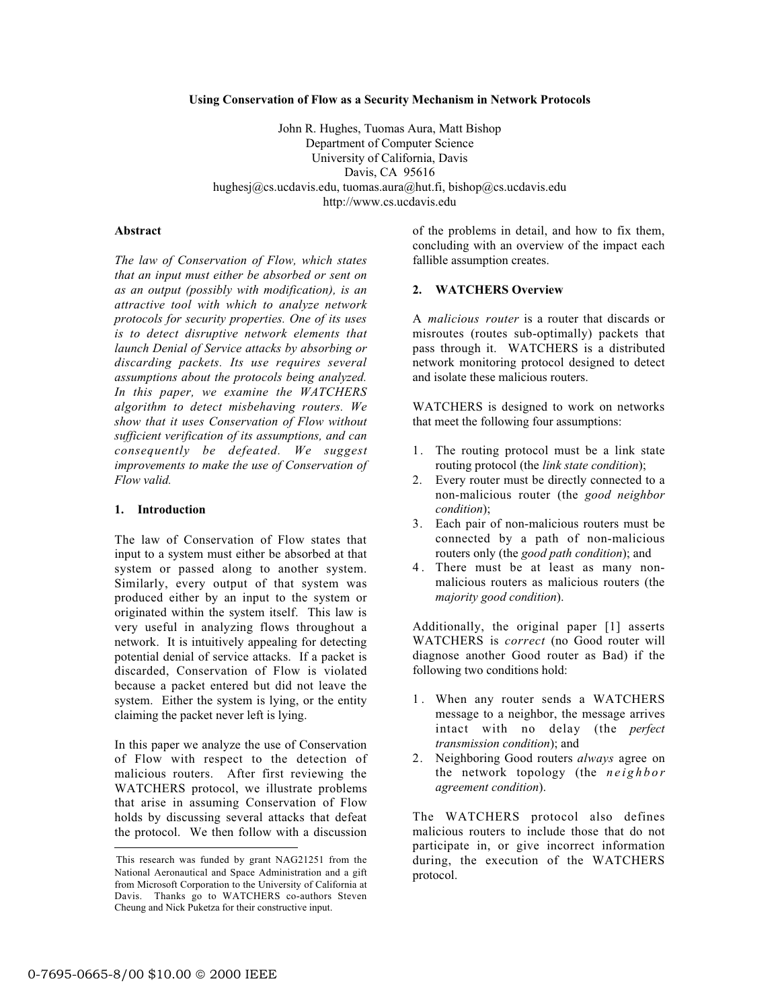#### **Using Conservation of Flow as a Security Mechanism in Network Protocols**

John R. Hughes, Tuomas Aura, Matt Bishop Department of Computer Science University of California, Davis Davis, CA 95616 hughesj@cs.ucdavis.edu, tuomas.aura@hut.fi, bishop@cs.ucdavis.edu http://www.cs.ucdavis.edu

### **Abstract**

*The law of Conservation of Flow, which states that an input must either be absorbed or sent on as an output (possibly with modification), is an attractive tool with which to analyze network protocols for security properties. One of its uses is to detect disruptive network elements that launch Denial of Service attacks by absorbing or discarding packets. Its use requires several assumptions about the protocols being analyzed. In this paper, we examine the WATCHERS algorithm to detect misbehaving routers. We show that it uses Conservation of Flow without sufficient verification of its assumptions, and can consequently be defeated. We suggest improvements to make the use of Conservation of Flow valid.*

## **1. Introduction**

The law of Conservation of Flow states that input to a system must either be absorbed at that system or passed along to another system. Similarly, every output of that system was produced either by an input to the system or originated within the system itself. This law is very useful in analyzing flows throughout a network. It is intuitively appealing for detecting potential denial of service attacks. If a packet is discarded, Conservation of Flow is violated because a packet entered but did not leave the system. Either the system is lying, or the entity claiming the packet never left is lying.

In this paper we analyze the use of Conservation of Flow with respect to the detection of malicious routers. After first reviewing the WATCHERS protocol, we illustrate problems that arise in assuming Conservation of Flow holds by discussing several attacks that defeat the protocol. We then follow with a discussion of the problems in detail, and how to fix them, concluding with an overview of the impact each fallible assumption creates.

### **2. WATCHERS Overview**

A *malicious router* is a router that discards or misroutes (routes sub-optimally) packets that pass through it. WATCHERS is a distributed network monitoring protocol designed to detect and isolate these malicious routers.

WATCHERS is designed to work on networks that meet the following four assumptions:

- 1. The routing protocol must be a link state routing protocol (the *link state condition*);
- 2. Every router must be directly connected to a non-malicious router (the *good neighbor condition*);
- 3. Each pair of non-malicious routers must be connected by a path of non-malicious routers only (the *good path condition*); and
- 4 . There must be at least as many nonmalicious routers as malicious routers (the *majority good condition*).

Additionally, the original paper [1] asserts WATCHERS is *correct* (no Good router will diagnose another Good router as Bad) if the following two conditions hold:

- 1. When any router sends a WATCHERS message to a neighbor, the message arrives intact with no delay (the *perfect transmission condition*); and
- 2. Neighboring Good routers *always* agree on the network topology (the *neighbor agreement condition*).

The WATCHERS protocol also defines malicious routers to include those that do not participate in, or give incorrect information during, the execution of the WATCHERS protocol.

 $\overline{a}$ 

This research was funded by grant NAG21251 from the National Aeronautical and Space Administration and a gift from Microsoft Corporation to the University of California at Davis. Thanks go to WATCHERS co-authors Steven Cheung and Nick Puketza for their constructive input.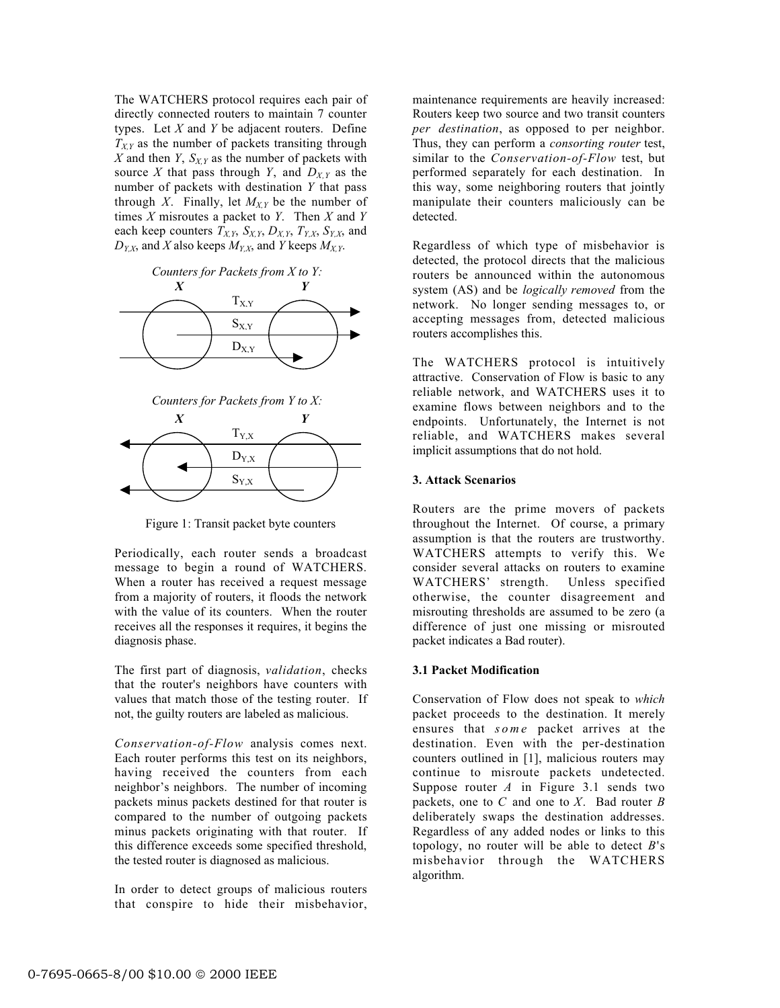The WATCHERS protocol requires each pair of directly connected routers to maintain 7 counter types. Let *X* and *Y* be adjacent routers. Define  $T_{XY}$  as the number of packets transiting through  $X$  and then  $Y$ ,  $S_{X,Y}$  as the number of packets with source *X* that pass through *Y*, and  $D_{X,Y}$  as the number of packets with destination *Y* that pass through *X*. Finally, let  $M_{X,Y}$  be the number of times *X* misroutes a packet to *Y*. Then *X* and *Y* each keep counters  $T_{X,Y}$ ,  $S_{X,Y}$ ,  $D_{X,Y}$ ,  $T_{Y,X}$ ,  $S_{Y,X}$ , and  $D_{Y,X}$ , and *X* also keeps  $M_{Y,X}$ , and *Y* keeps  $M_{X,Y}$ .



*Counters for Packets from Y to X:*



Figure 1: Transit packet byte counters

Periodically, each router sends a broadcast message to begin a round of WATCHERS. When a router has received a request message from a majority of routers, it floods the network with the value of its counters. When the router receives all the responses it requires, it begins the diagnosis phase.

The first part of diagnosis, *validation*, checks that the router's neighbors have counters with values that match those of the testing router. If not, the guilty routers are labeled as malicious.

*Conservation-of-Flow* analysis comes next. Each router performs this test on its neighbors, having received the counters from each neighbor's neighbors. The number of incoming packets minus packets destined for that router is compared to the number of outgoing packets minus packets originating with that router. If this difference exceeds some specified threshold, the tested router is diagnosed as malicious.

In order to detect groups of malicious routers that conspire to hide their misbehavior,

maintenance requirements are heavily increased: Routers keep two source and two transit counters *per destination*, as opposed to per neighbor. Thus, they can perform a *consorting router* test, similar to the *Conservation-of-Flow* test, but performed separately for each destination. In this way, some neighboring routers that jointly manipulate their counters maliciously can be detected.

Regardless of which type of misbehavior is detected, the protocol directs that the malicious routers be announced within the autonomous system (AS) and be *logically removed* from the network. No longer sending messages to, or accepting messages from, detected malicious routers accomplishes this.

The WATCHERS protocol is intuitively attractive. Conservation of Flow is basic to any reliable network, and WATCHERS uses it to examine flows between neighbors and to the endpoints. Unfortunately, the Internet is not reliable, and WATCHERS makes several implicit assumptions that do not hold.

# **3. Attack Scenarios**

Routers are the prime movers of packets throughout the Internet. Of course, a primary assumption is that the routers are trustworthy. WATCHERS attempts to verify this. We consider several attacks on routers to examine WATCHERS' strength. Unless specified otherwise, the counter disagreement and misrouting thresholds are assumed to be zero (a difference of just one missing or misrouted packet indicates a Bad router).

# **3.1 Packet Modification**

Conservation of Flow does not speak to *which* packet proceeds to the destination. It merely ensures that *some* packet arrives at the destination. Even with the per-destination counters outlined in [1], malicious routers may continue to misroute packets undetected. Suppose router *A* in Figure 3.1 sends two packets, one to *C* and one to *X*. Bad router *B* deliberately swaps the destination addresses. Regardless of any added nodes or links to this topology, no router will be able to detect *B*'s misbehavior through the WATCHERS algorithm.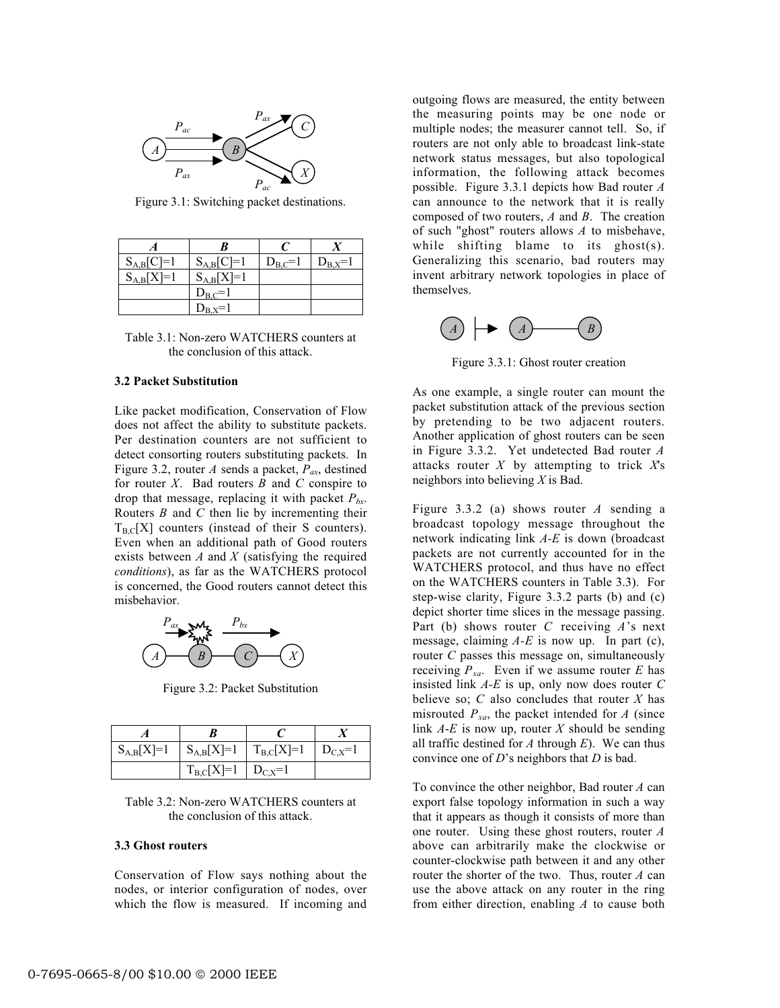

Figure 3.1: Switching packet destinations.

| $S_{A,B}[C]=1$ | $S_{A,B}[C]=1$ | $D_{B,C}=1$ | $D_{B,X}=1$ |
|----------------|----------------|-------------|-------------|
| $S_{A,B}[X]=1$ | $S_{A,B}[X]=1$ |             |             |
|                | $D_{B,C}=1$    |             |             |
|                |                |             |             |

Table 3.1: Non-zero WATCHERS counters at the conclusion of this attack.

### **3.2 Packet Substitution**

Like packet modification, Conservation of Flow does not affect the ability to substitute packets. Per destination counters are not sufficient to detect consorting routers substituting packets. In Figure 3.2, router *A* sends a packet,  $P_{ax}$ , destined for router *X*. Bad routers *B* and *C* conspire to drop that message, replacing it with packet  $P_{bx}$ . Routers *B* and *C* then lie by incrementing their  $T_{BC}[X]$  counters (instead of their S counters). Even when an additional path of Good routers exists between *A* and *X* (satisfying the required *conditions*), as far as the WATCHERS protocol is concerned, the Good routers cannot detect this misbehavior.



Figure 3.2: Packet Substitution

| $S_{A,B}[X]=1$ | $S_{A,B}[X]=1$ $T_{B,C}[X]=1$ | $D_{C,X}=1$ |
|----------------|-------------------------------|-------------|
|                | $T_{B,C}[X]=1$   $D_{C,X}=1$  |             |

Table 3.2: Non-zero WATCHERS counters at the conclusion of this attack.

#### **3.3 Ghost routers**

Conservation of Flow says nothing about the nodes, or interior configuration of nodes, over which the flow is measured. If incoming and outgoing flows are measured, the entity between the measuring points may be one node or multiple nodes; the measurer cannot tell. So, if routers are not only able to broadcast link-state network status messages, but also topological information, the following attack becomes possible. Figure 3.3.1 depicts how Bad router *A* can announce to the network that it is really composed of two routers, *A* and *B*. The creation of such "ghost" routers allows *A* to misbehave, while shifting blame to its ghost(s). Generalizing this scenario, bad routers may invent arbitrary network topologies in place of themselves.



Figure 3.3.1: Ghost router creation

As one example, a single router can mount the packet substitution attack of the previous section by pretending to be two adjacent routers. Another application of ghost routers can be seen in Figure 3.3.2. Yet undetected Bad router *A* attacks router *X* by attempting to trick *X*'s neighbors into believing *X* is Bad.

Figure 3.3.2 (a) shows router *A* sending a broadcast topology message throughout the network indicating link *A-E* is down (broadcast packets are not currently accounted for in the WATCHERS protocol, and thus have no effect on the WATCHERS counters in Table 3.3). For step-wise clarity, Figure 3.3.2 parts (b) and (c) depict shorter time slices in the message passing. Part (b) shows router *C* receiving *A*'s next message, claiming *A-E* is now up. In part (c), router *C* passes this message on, simultaneously receiving  $P_{xa}$ . Even if we assume router  $E$  has insisted link *A-E* is up, only now does router *C* believe so;  $C$  also concludes that router  $X$  has misrouted  $P_{xa}$ , the packet intended for  $A$  (since link *A*-*E* is now up, router *X* should be sending all traffic destined for  $A$  through  $E$ ). We can thus convince one of *D*'s neighbors that *D* is bad.

To convince the other neighbor, Bad router *A* can export false topology information in such a way that it appears as though it consists of more than one router. Using these ghost routers, router *A* above can arbitrarily make the clockwise or counter-clockwise path between it and any other router the shorter of the two. Thus, router *A* can use the above attack on any router in the ring from either direction, enabling *A* to cause both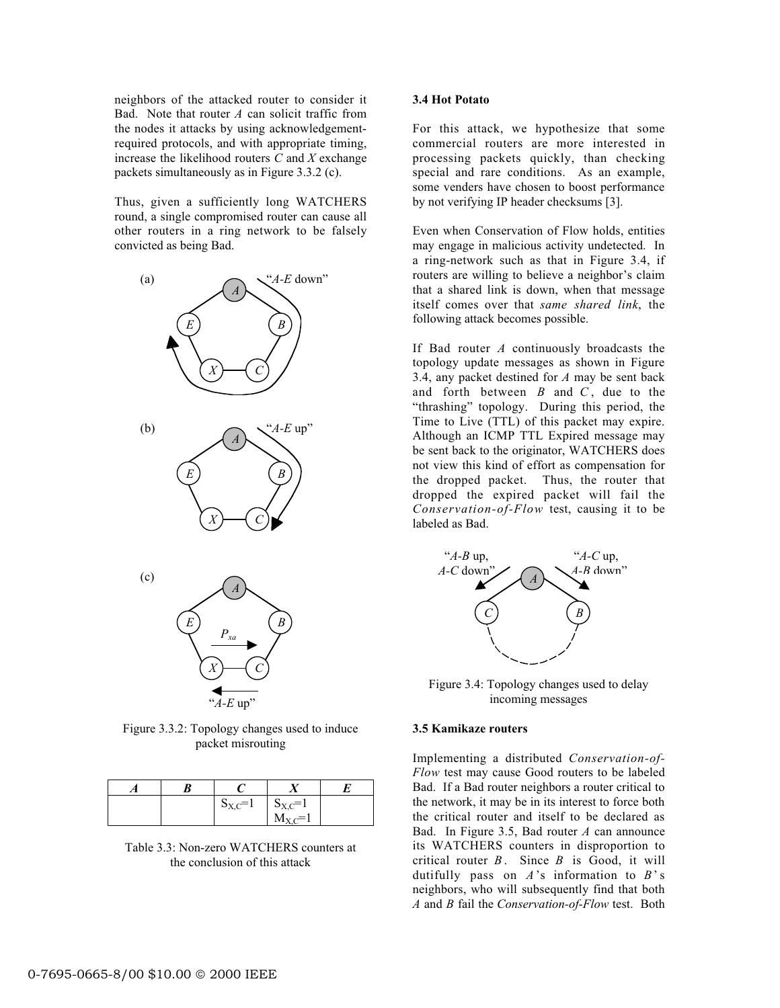neighbors of the attacked router to consider it Bad. Note that router *A* can solicit traffic from the nodes it attacks by using acknowledgementrequired protocols, and with appropriate timing, increase the likelihood routers *C* and *X* exchange packets simultaneously as in Figure 3.3.2 (c).

Thus, given a sufficiently long WATCHERS round, a single compromised router can cause all other routers in a ring network to be falsely convicted as being Bad.



Figure 3.3.2: Topology changes used to induce packet misrouting

|  | $S_{X,C}=1$ | $S_{X,C}=1$            |  |
|--|-------------|------------------------|--|
|  |             | $M_{\rm{V}} \approx 1$ |  |

Table 3.3: Non-zero WATCHERS counters at the conclusion of this attack

## **3.4 Hot Potato**

For this attack, we hypothesize that some commercial routers are more interested in processing packets quickly, than checking special and rare conditions. As an example, some venders have chosen to boost performance by not verifying IP header checksums [3].

Even when Conservation of Flow holds, entities may engage in malicious activity undetected. In a ring-network such as that in Figure 3.4, if routers are willing to believe a neighbor's claim that a shared link is down, when that message itself comes over that *same shared link*, the following attack becomes possible.

If Bad router *A* continuously broadcasts the topology update messages as shown in Figure 3.4, any packet destined for *A* may be sent back and forth between *B* and *C* , due to the "thrashing" topology. During this period, the Time to Live (TTL) of this packet may expire. Although an ICMP TTL Expired message may be sent back to the originator, WATCHERS does not view this kind of effort as compensation for the dropped packet. Thus, the router that dropped the expired packet will fail the *Conservation-of-Flow* test, causing it to be labeled as Bad.



Figure 3.4: Topology changes used to delay incoming messages

### **3.5 Kamikaze routers**

Implementing a distributed *Conservation-of-Flow* test may cause Good routers to be labeled Bad. If a Bad router neighbors a router critical to the network, it may be in its interest to force both the critical router and itself to be declared as Bad. In Figure 3.5, Bad router *A* can announce its WATCHERS counters in disproportion to critical router *B* . Since *B* is Good, it will dutifully pass on *A*'s information to *B*' s neighbors, who will subsequently find that both *A* and *B* fail the *Conservation-of-Flow* test. Both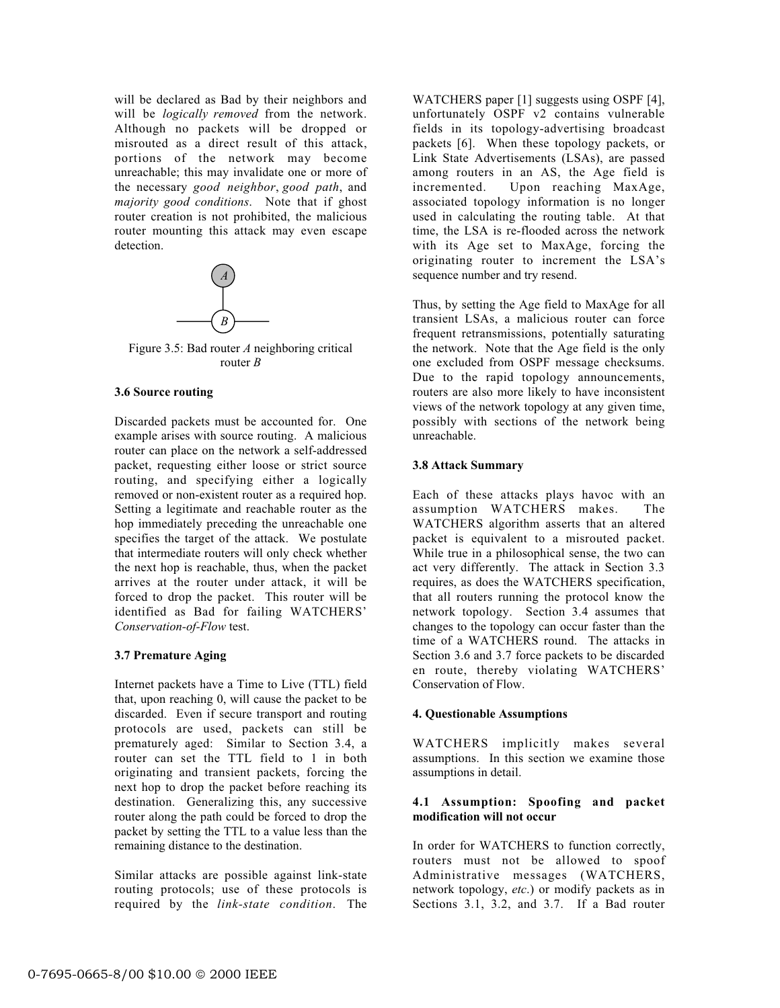will be declared as Bad by their neighbors and will be *logically removed* from the network. Although no packets will be dropped or misrouted as a direct result of this attack, portions of the network may become unreachable; this may invalidate one or more of the necessary *good neighbor*, *good path*, and *majority good conditions*. Note that if ghost router creation is not prohibited, the malicious router mounting this attack may even escape detection.



Figure 3.5: Bad router *A* neighboring critical router *B*

### **3.6 Source routing**

Discarded packets must be accounted for. One example arises with source routing. A malicious router can place on the network a self-addressed packet, requesting either loose or strict source routing, and specifying either a logically removed or non-existent router as a required hop. Setting a legitimate and reachable router as the hop immediately preceding the unreachable one specifies the target of the attack. We postulate that intermediate routers will only check whether the next hop is reachable, thus, when the packet arrives at the router under attack, it will be forced to drop the packet. This router will be identified as Bad for failing WATCHERS' *Conservation-of-Flow* test.

### **3.7 Premature Aging**

Internet packets have a Time to Live (TTL) field that, upon reaching 0, will cause the packet to be discarded. Even if secure transport and routing protocols are used, packets can still be prematurely aged: Similar to Section 3.4, a router can set the TTL field to 1 in both originating and transient packets, forcing the next hop to drop the packet before reaching its destination. Generalizing this, any successive router along the path could be forced to drop the packet by setting the TTL to a value less than the remaining distance to the destination.

Similar attacks are possible against link-state routing protocols; use of these protocols is required by the *link-state condition*. The

WATCHERS paper [1] suggests using OSPF [4], unfortunately OSPF v2 contains vulnerable fields in its topology-advertising broadcast packets [6]. When these topology packets, or Link State Advertisements (LSAs), are passed among routers in an AS, the Age field is incremented. Upon reaching MaxAge, associated topology information is no longer used in calculating the routing table. At that time, the LSA is re-flooded across the network with its Age set to MaxAge, forcing the originating router to increment the LSA's sequence number and try resend.

Thus, by setting the Age field to MaxAge for all transient LSAs, a malicious router can force frequent retransmissions, potentially saturating the network. Note that the Age field is the only one excluded from OSPF message checksums. Due to the rapid topology announcements, routers are also more likely to have inconsistent views of the network topology at any given time, possibly with sections of the network being unreachable.

### **3.8 Attack Summary**

Each of these attacks plays havoc with an assumption WATCHERS makes. The WATCHERS algorithm asserts that an altered packet is equivalent to a misrouted packet. While true in a philosophical sense, the two can act very differently. The attack in Section 3.3 requires, as does the WATCHERS specification, that all routers running the protocol know the network topology. Section 3.4 assumes that changes to the topology can occur faster than the time of a WATCHERS round. The attacks in Section 3.6 and 3.7 force packets to be discarded en route, thereby violating WATCHERS' Conservation of Flow.

# **4. Questionable Assumptions**

WATCHERS implicitly makes several assumptions. In this section we examine those assumptions in detail.

# **4.1 Assumption: Spoofing and packet modification will not occur**

In order for WATCHERS to function correctly, routers must not be allowed to spoof Administrative messages (WATCHERS, network topology, *etc*.) or modify packets as in Sections 3.1, 3.2, and 3.7. If a Bad router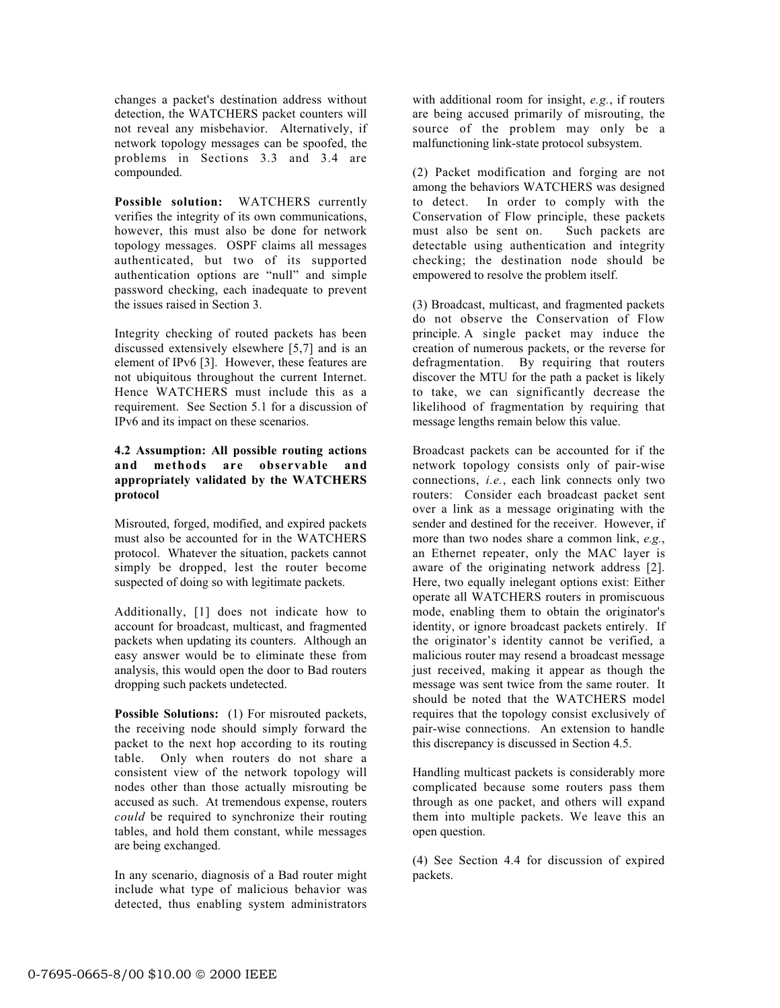changes a packet's destination address without detection, the WATCHERS packet counters will not reveal any misbehavior. Alternatively, if network topology messages can be spoofed, the problems in Sections 3.3 and 3.4 are compounded.

**Possible solution:** WATCHERS currently verifies the integrity of its own communications, however, this must also be done for network topology messages. OSPF claims all messages authenticated, but two of its supported authentication options are "null" and simple password checking, each inadequate to prevent the issues raised in Section 3.

Integrity checking of routed packets has been discussed extensively elsewhere [5,7] and is an element of IPv6 [3]. However, these features are not ubiquitous throughout the current Internet. Hence WATCHERS must include this as a requirement. See Section 5.1 for a discussion of IPv6 and its impact on these scenarios.

# **4.2 Assumption: All possible routing actions and methods are observable and appropriately validated by the WATCHERS protocol**

Misrouted, forged, modified, and expired packets must also be accounted for in the WATCHERS protocol. Whatever the situation, packets cannot simply be dropped, lest the router become suspected of doing so with legitimate packets.

Additionally, [1] does not indicate how to account for broadcast, multicast, and fragmented packets when updating its counters. Although an easy answer would be to eliminate these from analysis, this would open the door to Bad routers dropping such packets undetected.

**Possible Solutions:** (1) For misrouted packets, the receiving node should simply forward the packet to the next hop according to its routing table. Only when routers do not share a consistent view of the network topology will nodes other than those actually misrouting be accused as such. At tremendous expense, routers *could* be required to synchronize their routing tables, and hold them constant, while messages are being exchanged.

In any scenario, diagnosis of a Bad router might include what type of malicious behavior was detected, thus enabling system administrators

with additional room for insight, *e.g.*, if routers are being accused primarily of misrouting, the source of the problem may only be a malfunctioning link-state protocol subsystem.

(2) Packet modification and forging are not among the behaviors WATCHERS was designed to detect. In order to comply with the Conservation of Flow principle, these packets must also be sent on. detectable using authentication and integrity checking; the destination node should be empowered to resolve the problem itself.

(3) Broadcast, multicast, and fragmented packets do not observe the Conservation of Flow principle. A single packet may induce the creation of numerous packets, or the reverse for defragmentation. By requiring that routers discover the MTU for the path a packet is likely to take, we can significantly decrease the likelihood of fragmentation by requiring that message lengths remain below this value.

Broadcast packets can be accounted for if the network topology consists only of pair-wise connections, *i.e.*, each link connects only two routers: Consider each broadcast packet sent over a link as a message originating with the sender and destined for the receiver. However, if more than two nodes share a common link, *e.g.*, an Ethernet repeater, only the MAC layer is aware of the originating network address [2]. Here, two equally inelegant options exist: Either operate all WATCHERS routers in promiscuous mode, enabling them to obtain the originator's identity, or ignore broadcast packets entirely. If the originator's identity cannot be verified, a malicious router may resend a broadcast message just received, making it appear as though the message was sent twice from the same router. It should be noted that the WATCHERS model requires that the topology consist exclusively of pair-wise connections. An extension to handle this discrepancy is discussed in Section 4.5.

Handling multicast packets is considerably more complicated because some routers pass them through as one packet, and others will expand them into multiple packets. We leave this an open question.

(4) See Section 4.4 for discussion of expired packets.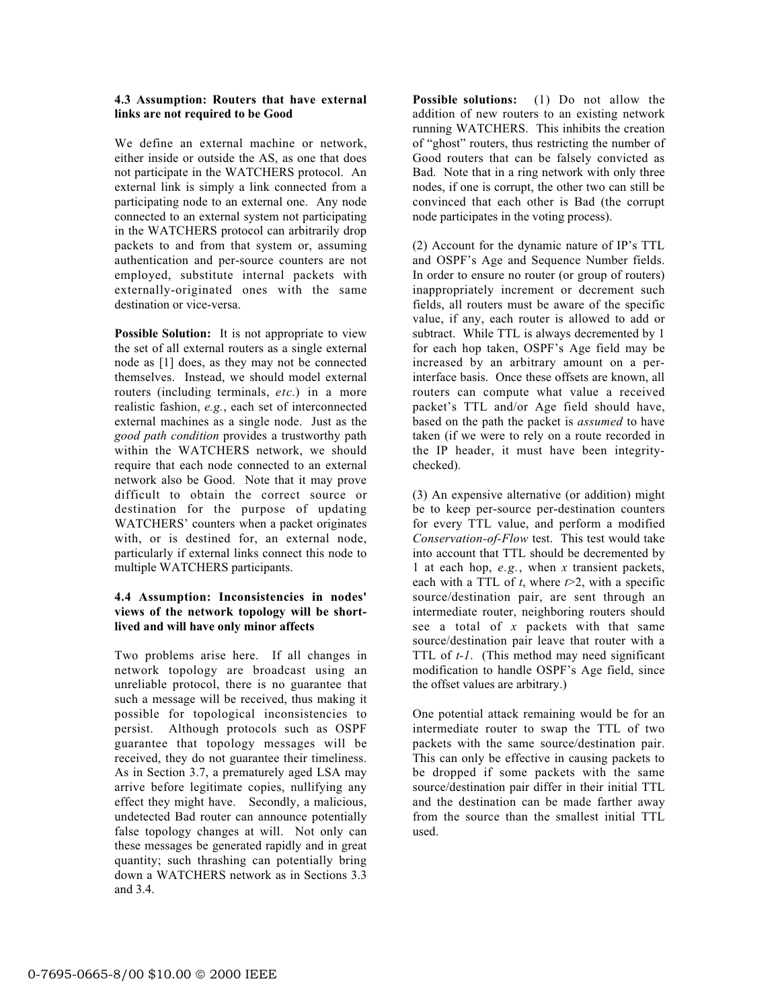## **4.3 Assumption: Routers that have external links are not required to be Good**

We define an external machine or network, either inside or outside the AS, as one that does not participate in the WATCHERS protocol. An external link is simply a link connected from a participating node to an external one. Any node connected to an external system not participating in the WATCHERS protocol can arbitrarily drop packets to and from that system or, assuming authentication and per-source counters are not employed, substitute internal packets with externally-originated ones with the same destination or vice-versa.

**Possible Solution:** It is not appropriate to view the set of all external routers as a single external node as [1] does, as they may not be connected themselves. Instead, we should model external routers (including terminals, *etc*.) in a more realistic fashion, *e.g.*, each set of interconnected external machines as a single node. Just as the *good path condition* provides a trustworthy path within the WATCHERS network, we should require that each node connected to an external network also be Good. Note that it may prove difficult to obtain the correct source or destination for the purpose of updating WATCHERS' counters when a packet originates with, or is destined for, an external node, particularly if external links connect this node to multiple WATCHERS participants.

## **4.4 Assumption: Inconsistencies in nodes' views of the network topology will be shortlived and will have only minor affects**

Two problems arise here. If all changes in network topology are broadcast using an unreliable protocol, there is no guarantee that such a message will be received, thus making it possible for topological inconsistencies to persist. Although protocols such as OSPF guarantee that topology messages will be received, they do not guarantee their timeliness. As in Section 3.7, a prematurely aged LSA may arrive before legitimate copies, nullifying any effect they might have. Secondly, a malicious, undetected Bad router can announce potentially false topology changes at will. Not only can these messages be generated rapidly and in great quantity; such thrashing can potentially bring down a WATCHERS network as in Sections 3.3 and 3.4.

**Possible solutions:** (1) Do not allow the addition of new routers to an existing network running WATCHERS. This inhibits the creation of "ghost" routers, thus restricting the number of Good routers that can be falsely convicted as Bad. Note that in a ring network with only three nodes, if one is corrupt, the other two can still be convinced that each other is Bad (the corrupt node participates in the voting process).

(2) Account for the dynamic nature of IP's TTL and OSPF's Age and Sequence Number fields. In order to ensure no router (or group of routers) inappropriately increment or decrement such fields, all routers must be aware of the specific value, if any, each router is allowed to add or subtract. While TTL is always decremented by 1 for each hop taken, OSPF's Age field may be increased by an arbitrary amount on a perinterface basis. Once these offsets are known, all routers can compute what value a received packet's TTL and/or Age field should have, based on the path the packet is *assumed* to have taken (if we were to rely on a route recorded in the IP header, it must have been integritychecked).

(3) An expensive alternative (or addition) might be to keep per-source per-destination counters for every TTL value, and perform a modified *Conservation-of-Flow* test. This test would take into account that TTL should be decremented by 1 at each hop, *e.g.*, when *x* transient packets, each with a TTL of  $t$ , where  $t > 2$ , with a specific source/destination pair, are sent through an intermediate router, neighboring routers should see a total of *x* packets with that same source/destination pair leave that router with a TTL of *t-1*. (This method may need significant modification to handle OSPF's Age field, since the offset values are arbitrary.)

One potential attack remaining would be for an intermediate router to swap the TTL of two packets with the same source/destination pair. This can only be effective in causing packets to be dropped if some packets with the same source/destination pair differ in their initial TTL and the destination can be made farther away from the source than the smallest initial TTL used.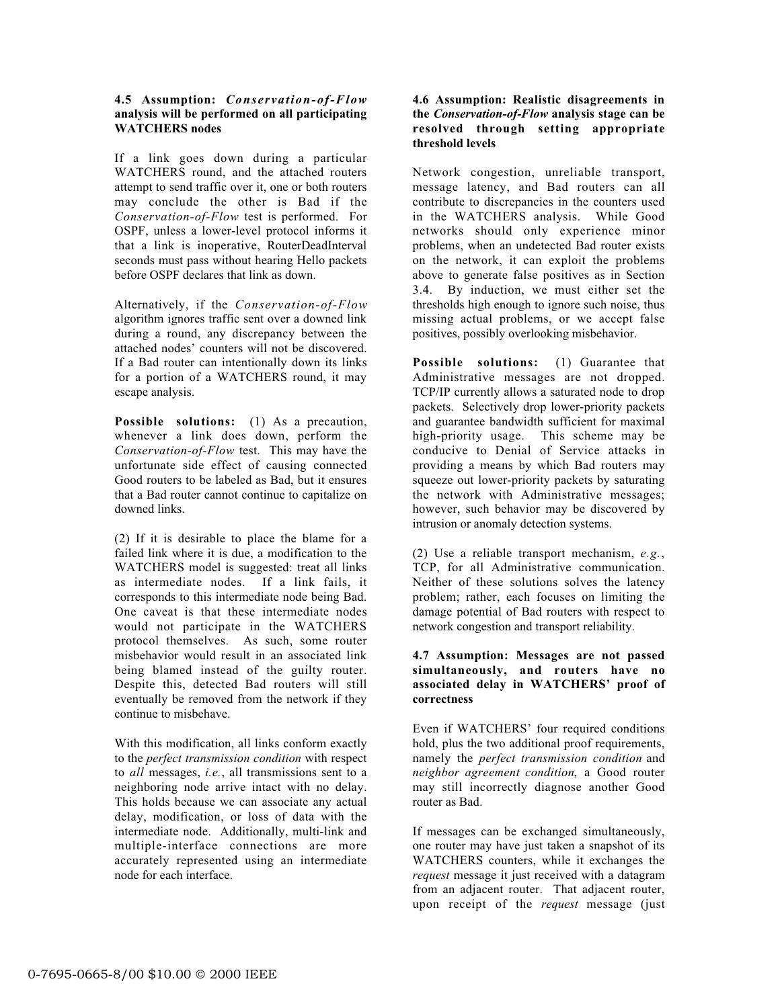## **4.5 Assumption:** *Conservation-of-Flow* **analysis will be performed on all participating WATCHERS nodes**

If a link goes down during a particular WATCHERS round, and the attached routers attempt to send traffic over it, one or both routers may conclude the other is Bad if the *Conservation-of-Flow* test is performed. For OSPF, unless a lower-level protocol informs it that a link is inoperative, RouterDeadInterval seconds must pass without hearing Hello packets before OSPF declares that link as down.

Alternatively, if the *Conservation-of-Flow* algorithm ignores traffic sent over a downed link during a round, any discrepancy between the attached nodes' counters will not be discovered. If a Bad router can intentionally down its links for a portion of a WATCHERS round, it may escape analysis.

**Possible solutions:** (1) As a precaution, whenever a link does down, perform the *Conservation-of-Flow* test. This may have the unfortunate side effect of causing connected Good routers to be labeled as Bad, but it ensures that a Bad router cannot continue to capitalize on downed links.

(2) If it is desirable to place the blame for a failed link where it is due, a modification to the WATCHERS model is suggested: treat all links as intermediate nodes. If a link fails, it corresponds to this intermediate node being Bad. One caveat is that these intermediate nodes would not participate in the WATCHERS protocol themselves. As such, some router misbehavior would result in an associated link being blamed instead of the guilty router. Despite this, detected Bad routers will still eventually be removed from the network if they continue to misbehave.

With this modification, all links conform exactly to the *perfect transmission condition* with respect to *all* messages, *i.e.*, all transmissions sent to a neighboring node arrive intact with no delay. This holds because we can associate any actual delay, modification, or loss of data with the intermediate node. Additionally, multi-link and multiple-interface connections are more accurately represented using an intermediate node for each interface.

# **4.6 Assumption: Realistic disagreements in the** *Conservation-of-Flow* **analysis stage can be resolved through setting appropriate threshold levels**

Network congestion, unreliable transport, message latency, and Bad routers can all contribute to discrepancies in the counters used in the WATCHERS analysis. While Good networks should only experience minor problems, when an undetected Bad router exists on the network, it can exploit the problems above to generate false positives as in Section 3.4. By induction, we must either set the thresholds high enough to ignore such noise, thus missing actual problems, or we accept false positives, possibly overlooking misbehavior.

**Possible solutions:** (1) Guarantee that Administrative messages are not dropped. TCP/IP currently allows a saturated node to drop packets. Selectively drop lower-priority packets and guarantee bandwidth sufficient for maximal high-priority usage. This scheme may be conducive to Denial of Service attacks in providing a means by which Bad routers may squeeze out lower-priority packets by saturating the network with Administrative messages; however, such behavior may be discovered by intrusion or anomaly detection systems.

(2) Use a reliable transport mechanism, *e.g.*, TCP, for all Administrative communication. Neither of these solutions solves the latency problem; rather, each focuses on limiting the damage potential of Bad routers with respect to network congestion and transport reliability.

## **4.7 Assumption: Messages are not passed simultaneously, and routers have no associated delay in WATCHERS' proof of correctness**

Even if WATCHERS' four required conditions hold, plus the two additional proof requirements, namely the *perfect transmission condition* and *neighbor agreement condition*, a Good router may still incorrectly diagnose another Good router as Bad.

If messages can be exchanged simultaneously, one router may have just taken a snapshot of its WATCHERS counters, while it exchanges the *request* message it just received with a datagram from an adjacent router. That adjacent router, upon receipt of the *request* message (just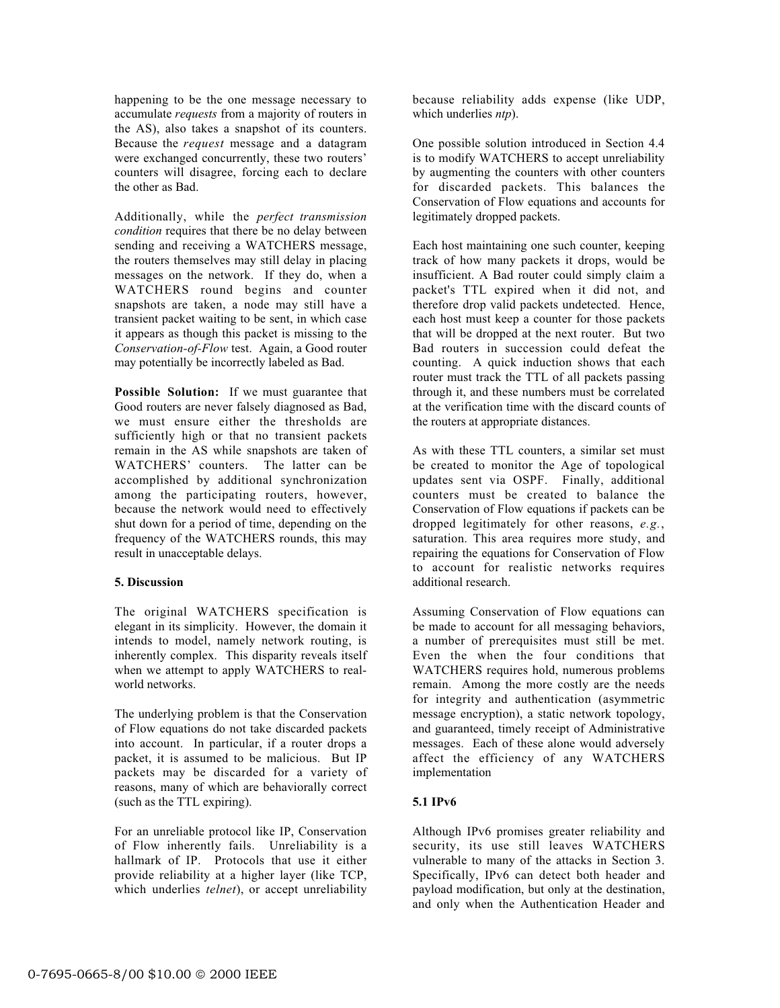happening to be the one message necessary to accumulate *requests* from a majority of routers in the AS), also takes a snapshot of its counters. Because the *request* message and a datagram were exchanged concurrently, these two routers' counters will disagree, forcing each to declare the other as Bad.

Additionally, while the *perfect transmission condition* requires that there be no delay between sending and receiving a WATCHERS message, the routers themselves may still delay in placing messages on the network. If they do, when a WATCHERS round begins and counter snapshots are taken, a node may still have a transient packet waiting to be sent, in which case it appears as though this packet is missing to the *Conservation-of-Flow* test. Again, a Good router may potentially be incorrectly labeled as Bad.

**Possible Solution:** If we must guarantee that Good routers are never falsely diagnosed as Bad, we must ensure either the thresholds are sufficiently high or that no transient packets remain in the AS while snapshots are taken of WATCHERS' counters. The latter can be accomplished by additional synchronization among the participating routers, however, because the network would need to effectively shut down for a period of time, depending on the frequency of the WATCHERS rounds, this may result in unacceptable delays.

# **5. Discussion**

The original WATCHERS specification is elegant in its simplicity. However, the domain it intends to model, namely network routing, is inherently complex. This disparity reveals itself when we attempt to apply WATCHERS to realworld networks.

The underlying problem is that the Conservation of Flow equations do not take discarded packets into account. In particular, if a router drops a packet, it is assumed to be malicious. But IP packets may be discarded for a variety of reasons, many of which are behaviorally correct (such as the TTL expiring).

For an unreliable protocol like IP, Conservation of Flow inherently fails. Unreliability is a hallmark of IP. Protocols that use it either provide reliability at a higher layer (like TCP, which underlies *telnet*), or accept unreliability because reliability adds expense (like UDP, which underlies *ntp*).

One possible solution introduced in Section 4.4 is to modify WATCHERS to accept unreliability by augmenting the counters with other counters for discarded packets. This balances the Conservation of Flow equations and accounts for legitimately dropped packets.

Each host maintaining one such counter, keeping track of how many packets it drops, would be insufficient. A Bad router could simply claim a packet's TTL expired when it did not, and therefore drop valid packets undetected. Hence, each host must keep a counter for those packets that will be dropped at the next router. But two Bad routers in succession could defeat the counting. A quick induction shows that each router must track the TTL of all packets passing through it, and these numbers must be correlated at the verification time with the discard counts of the routers at appropriate distances.

As with these TTL counters, a similar set must be created to monitor the Age of topological updates sent via OSPF. Finally, additional counters must be created to balance the Conservation of Flow equations if packets can be dropped legitimately for other reasons, *e.g.*, saturation. This area requires more study, and repairing the equations for Conservation of Flow to account for realistic networks requires additional research.

Assuming Conservation of Flow equations can be made to account for all messaging behaviors, a number of prerequisites must still be met. Even the when the four conditions that WATCHERS requires hold, numerous problems remain. Among the more costly are the needs for integrity and authentication (asymmetric message encryption), a static network topology, and guaranteed, timely receipt of Administrative messages. Each of these alone would adversely affect the efficiency of any WATCHERS implementation

# **5.1 IPv6**

Although IPv6 promises greater reliability and security, its use still leaves WATCHERS vulnerable to many of the attacks in Section 3. Specifically, IPv6 can detect both header and payload modification, but only at the destination, and only when the Authentication Header and